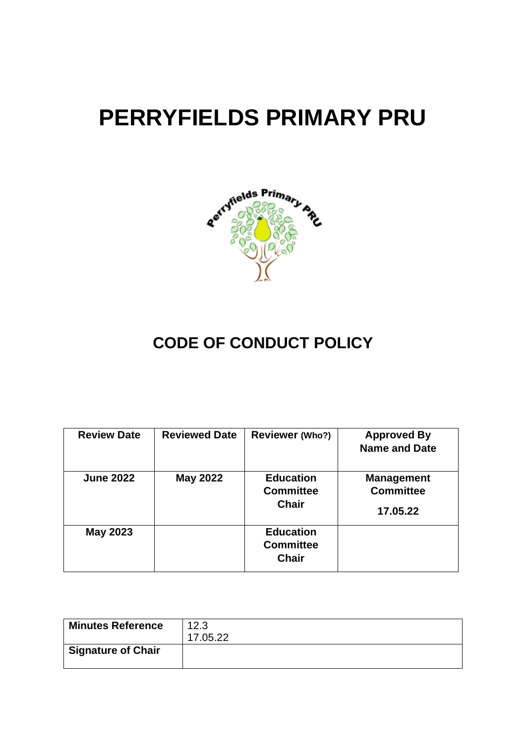# **PERRYFIELDS PRIMARY PRU**



# **CODE OF CONDUCT POLICY**

| <b>Review Date</b> | <b>Reviewed Date</b> | <b>Reviewer (Who?)</b>                               | <b>Approved By</b><br><b>Name and Date</b>        |
|--------------------|----------------------|------------------------------------------------------|---------------------------------------------------|
| <b>June 2022</b>   | <b>May 2022</b>      | <b>Education</b><br><b>Committee</b><br><b>Chair</b> | <b>Management</b><br><b>Committee</b><br>17.05.22 |
| <b>May 2023</b>    |                      | <b>Education</b><br><b>Committee</b><br><b>Chair</b> |                                                   |

| <b>Minutes Reference</b>  | 12.3<br>17.05.22 |
|---------------------------|------------------|
| <b>Signature of Chair</b> |                  |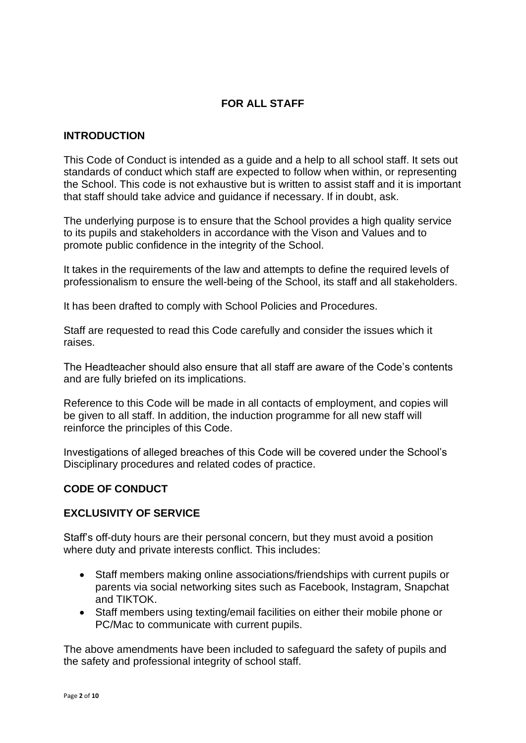# **FOR ALL STAFF**

#### **INTRODUCTION**

This Code of Conduct is intended as a guide and a help to all school staff. It sets out standards of conduct which staff are expected to follow when within, or representing the School. This code is not exhaustive but is written to assist staff and it is important that staff should take advice and guidance if necessary. If in doubt, ask.

The underlying purpose is to ensure that the School provides a high quality service to its pupils and stakeholders in accordance with the Vison and Values and to promote public confidence in the integrity of the School.

It takes in the requirements of the law and attempts to define the required levels of professionalism to ensure the well-being of the School, its staff and all stakeholders.

It has been drafted to comply with School Policies and Procedures.

Staff are requested to read this Code carefully and consider the issues which it raises.

The Headteacher should also ensure that all staff are aware of the Code's contents and are fully briefed on its implications.

Reference to this Code will be made in all contacts of employment, and copies will be given to all staff. In addition, the induction programme for all new staff will reinforce the principles of this Code.

Investigations of alleged breaches of this Code will be covered under the School's Disciplinary procedures and related codes of practice.

#### **CODE OF CONDUCT**

#### **EXCLUSIVITY OF SERVICE**

Staff's off-duty hours are their personal concern, but they must avoid a position where duty and private interests conflict. This includes:

- Staff members making online associations/friendships with current pupils or parents via social networking sites such as Facebook, Instagram, Snapchat and TIKTOK.
- Staff members using texting/email facilities on either their mobile phone or PC/Mac to communicate with current pupils.

The above amendments have been included to safeguard the safety of pupils and the safety and professional integrity of school staff.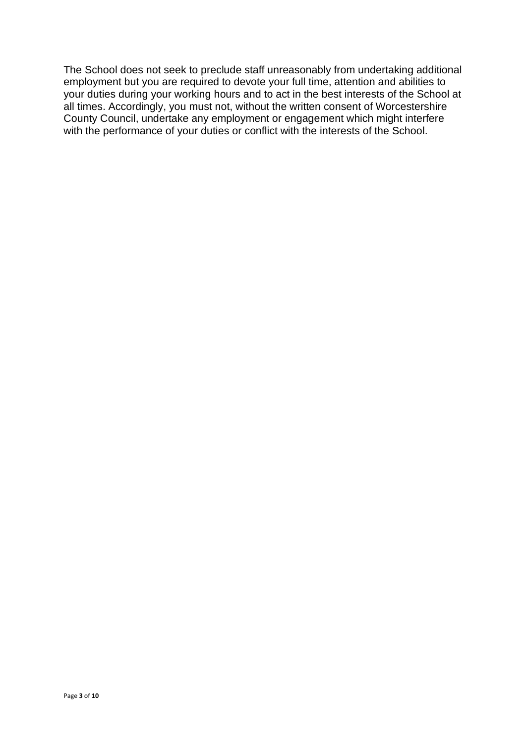The School does not seek to preclude staff unreasonably from undertaking additional employment but you are required to devote your full time, attention and abilities to your duties during your working hours and to act in the best interests of the School at all times. Accordingly, you must not, without the written consent of Worcestershire County Council, undertake any employment or engagement which might interfere with the performance of your duties or conflict with the interests of the School.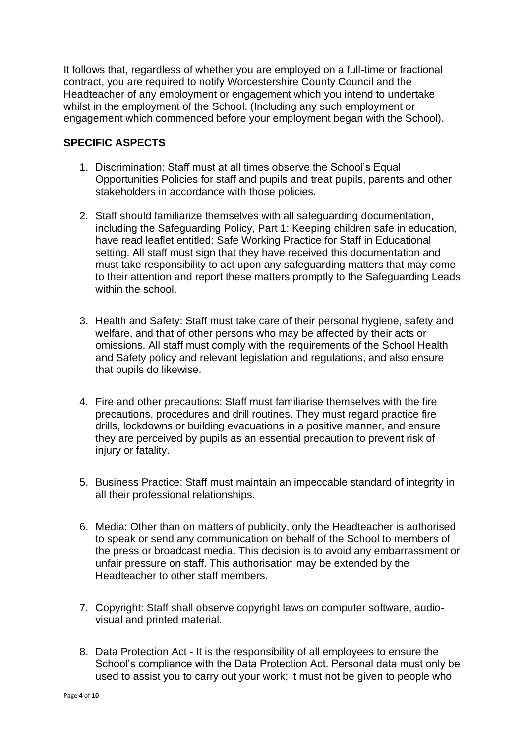It follows that, regardless of whether you are employed on a full-time or fractional contract, you are required to notify Worcestershire County Council and the Headteacher of any employment or engagement which you intend to undertake whilst in the employment of the School. (Including any such employment or engagement which commenced before your employment began with the School).

#### **SPECIFIC ASPECTS**

- 1. Discrimination: Staff must at all times observe the School's Equal Opportunities Policies for staff and pupils and treat pupils, parents and other stakeholders in accordance with those policies.
- 2. Staff should familiarize themselves with all safeguarding documentation, including the Safeguarding Policy, Part 1: Keeping children safe in education, have read leaflet entitled: Safe Working Practice for Staff in Educational setting. All staff must sign that they have received this documentation and must take responsibility to act upon any safeguarding matters that may come to their attention and report these matters promptly to the Safeguarding Leads within the school.
- 3. Health and Safety: Staff must take care of their personal hygiene, safety and welfare, and that of other persons who may be affected by their acts or omissions. All staff must comply with the requirements of the School Health and Safety policy and relevant legislation and regulations, and also ensure that pupils do likewise.
- 4. Fire and other precautions: Staff must familiarise themselves with the fire precautions, procedures and drill routines. They must regard practice fire drills, lockdowns or building evacuations in a positive manner, and ensure they are perceived by pupils as an essential precaution to prevent risk of injury or fatality.
- 5. Business Practice: Staff must maintain an impeccable standard of integrity in all their professional relationships.
- 6. Media: Other than on matters of publicity, only the Headteacher is authorised to speak or send any communication on behalf of the School to members of the press or broadcast media. This decision is to avoid any embarrassment or unfair pressure on staff. This authorisation may be extended by the Headteacher to other staff members.
- 7. Copyright: Staff shall observe copyright laws on computer software, audiovisual and printed material.
- 8. Data Protection Act It is the responsibility of all employees to ensure the School's compliance with the Data Protection Act. Personal data must only be used to assist you to carry out your work; it must not be given to people who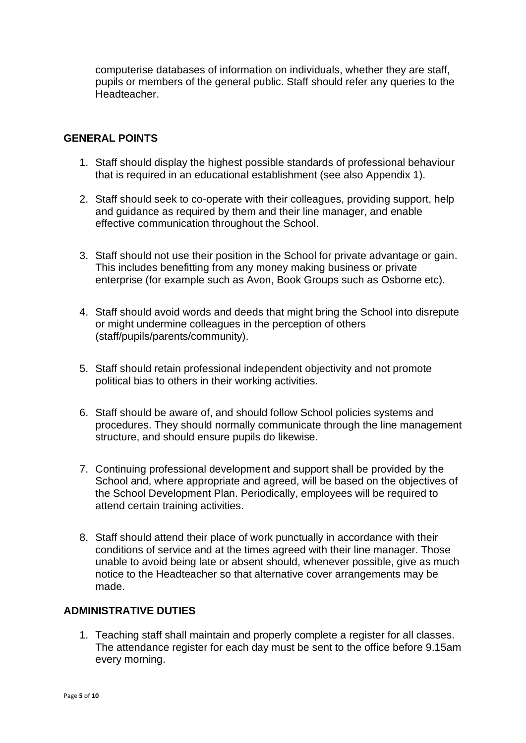computerise databases of information on individuals, whether they are staff, pupils or members of the general public. Staff should refer any queries to the Headteacher.

#### **GENERAL POINTS**

- 1. Staff should display the highest possible standards of professional behaviour that is required in an educational establishment (see also Appendix 1).
- 2. Staff should seek to co-operate with their colleagues, providing support, help and guidance as required by them and their line manager, and enable effective communication throughout the School.
- 3. Staff should not use their position in the School for private advantage or gain. This includes benefitting from any money making business or private enterprise (for example such as Avon, Book Groups such as Osborne etc).
- 4. Staff should avoid words and deeds that might bring the School into disrepute or might undermine colleagues in the perception of others (staff/pupils/parents/community).
- 5. Staff should retain professional independent objectivity and not promote political bias to others in their working activities.
- 6. Staff should be aware of, and should follow School policies systems and procedures. They should normally communicate through the line management structure, and should ensure pupils do likewise.
- 7. Continuing professional development and support shall be provided by the School and, where appropriate and agreed, will be based on the objectives of the School Development Plan. Periodically, employees will be required to attend certain training activities.
- 8. Staff should attend their place of work punctually in accordance with their conditions of service and at the times agreed with their line manager. Those unable to avoid being late or absent should, whenever possible, give as much notice to the Headteacher so that alternative cover arrangements may be made.

#### **ADMINISTRATIVE DUTIES**

1. Teaching staff shall maintain and properly complete a register for all classes. The attendance register for each day must be sent to the office before 9.15am every morning.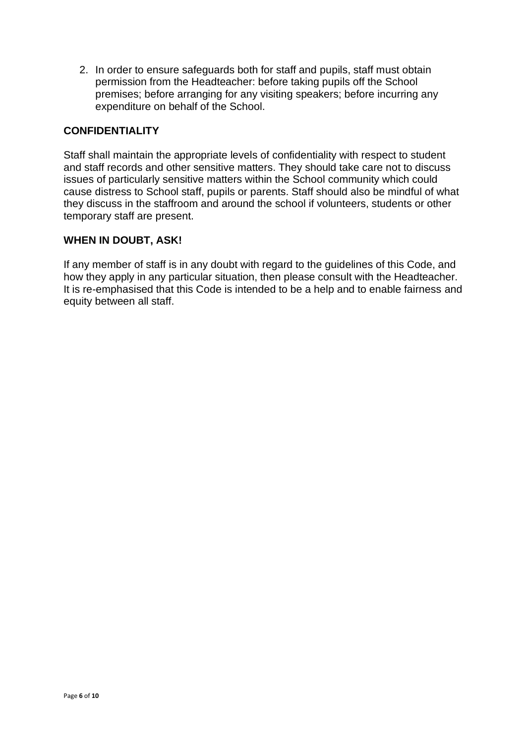2. In order to ensure safeguards both for staff and pupils, staff must obtain permission from the Headteacher: before taking pupils off the School premises; before arranging for any visiting speakers; before incurring any expenditure on behalf of the School.

#### **CONFIDENTIALITY**

Staff shall maintain the appropriate levels of confidentiality with respect to student and staff records and other sensitive matters. They should take care not to discuss issues of particularly sensitive matters within the School community which could cause distress to School staff, pupils or parents. Staff should also be mindful of what they discuss in the staffroom and around the school if volunteers, students or other temporary staff are present.

#### **WHEN IN DOUBT, ASK!**

If any member of staff is in any doubt with regard to the guidelines of this Code, and how they apply in any particular situation, then please consult with the Headteacher. It is re-emphasised that this Code is intended to be a help and to enable fairness and equity between all staff.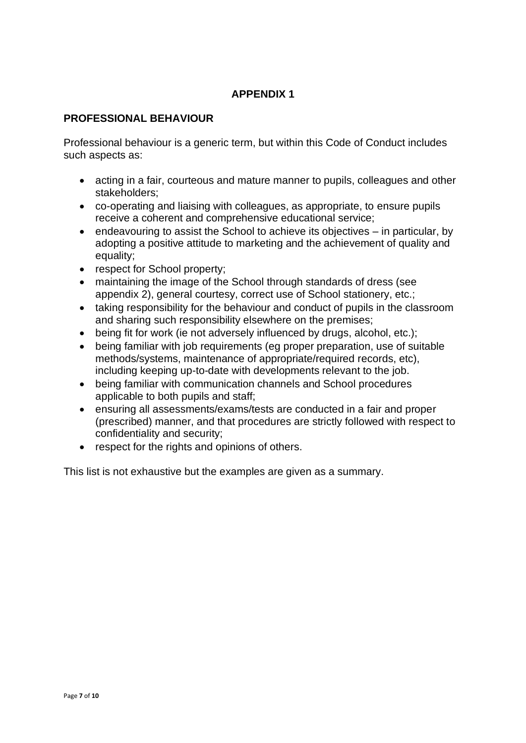# **APPENDIX 1**

#### **PROFESSIONAL BEHAVIOUR**

Professional behaviour is a generic term, but within this Code of Conduct includes such aspects as:

- acting in a fair, courteous and mature manner to pupils, colleagues and other stakeholders;
- co-operating and liaising with colleagues, as appropriate, to ensure pupils receive a coherent and comprehensive educational service;
- endeavouring to assist the School to achieve its objectives in particular, by adopting a positive attitude to marketing and the achievement of quality and equality;
- respect for School property;
- maintaining the image of the School through standards of dress (see appendix 2), general courtesy, correct use of School stationery, etc.;
- taking responsibility for the behaviour and conduct of pupils in the classroom and sharing such responsibility elsewhere on the premises;
- being fit for work (ie not adversely influenced by drugs, alcohol, etc.);
- being familiar with job requirements (eg proper preparation, use of suitable methods/systems, maintenance of appropriate/required records, etc). including keeping up-to-date with developments relevant to the job.
- being familiar with communication channels and School procedures applicable to both pupils and staff;
- ensuring all assessments/exams/tests are conducted in a fair and proper (prescribed) manner, and that procedures are strictly followed with respect to confidentiality and security;
- respect for the rights and opinions of others.

This list is not exhaustive but the examples are given as a summary.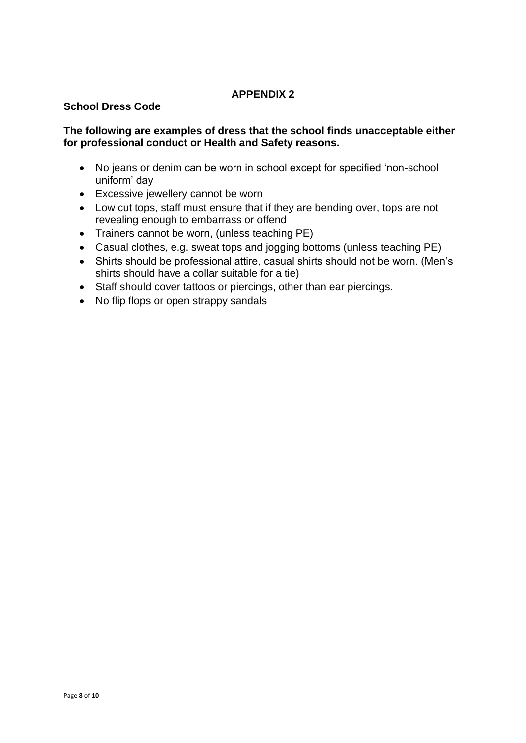## **APPENDIX 2**

#### **School Dress Code**

#### **The following are examples of dress that the school finds unacceptable either for professional conduct or Health and Safety reasons.**

- No jeans or denim can be worn in school except for specified 'non-school uniform' day
- Excessive jewellery cannot be worn
- Low cut tops, staff must ensure that if they are bending over, tops are not revealing enough to embarrass or offend
- Trainers cannot be worn, (unless teaching PE)
- Casual clothes, e.g. sweat tops and jogging bottoms (unless teaching PE)
- Shirts should be professional attire, casual shirts should not be worn. (Men's shirts should have a collar suitable for a tie)
- Staff should cover tattoos or piercings, other than ear piercings.
- No flip flops or open strappy sandals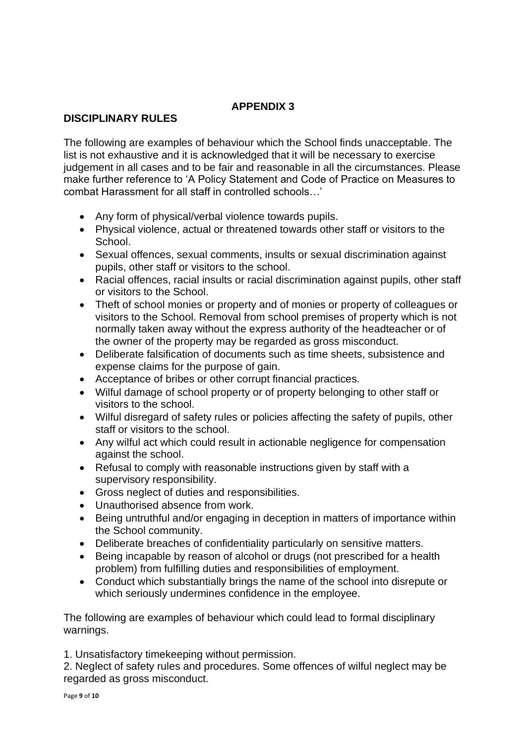# **APPENDIX 3**

## **DISCIPLINARY RULES**

The following are examples of behaviour which the School finds unacceptable. The list is not exhaustive and it is acknowledged that it will be necessary to exercise judgement in all cases and to be fair and reasonable in all the circumstances. Please make further reference to 'A Policy Statement and Code of Practice on Measures to combat Harassment for all staff in controlled schools…'

- Any form of physical/verbal violence towards pupils.
- Physical violence, actual or threatened towards other staff or visitors to the School.
- Sexual offences, sexual comments, insults or sexual discrimination against pupils, other staff or visitors to the school.
- Racial offences, racial insults or racial discrimination against pupils, other staff or visitors to the School.
- Theft of school monies or property and of monies or property of colleagues or visitors to the School. Removal from school premises of property which is not normally taken away without the express authority of the headteacher or of the owner of the property may be regarded as gross misconduct.
- Deliberate falsification of documents such as time sheets, subsistence and expense claims for the purpose of gain.
- Acceptance of bribes or other corrupt financial practices.
- Wilful damage of school property or of property belonging to other staff or visitors to the school.
- Wilful disregard of safety rules or policies affecting the safety of pupils, other staff or visitors to the school.
- Any wilful act which could result in actionable negligence for compensation against the school.
- Refusal to comply with reasonable instructions given by staff with a supervisory responsibility.
- Gross neglect of duties and responsibilities.
- Unauthorised absence from work.
- Being untruthful and/or engaging in deception in matters of importance within the School community.
- Deliberate breaches of confidentiality particularly on sensitive matters.
- Being incapable by reason of alcohol or drugs (not prescribed for a health problem) from fulfilling duties and responsibilities of employment.
- Conduct which substantially brings the name of the school into disrepute or which seriously undermines confidence in the employee.

The following are examples of behaviour which could lead to formal disciplinary warnings.

1. Unsatisfactory timekeeping without permission.

2. Neglect of safety rules and procedures. Some offences of wilful neglect may be regarded as gross misconduct.